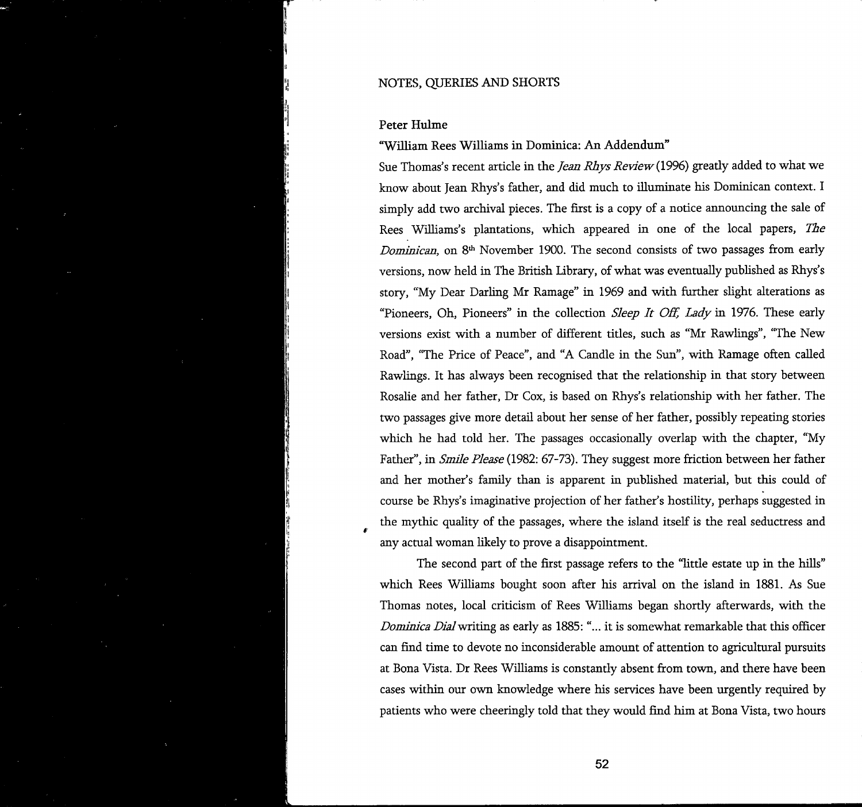## Peter Hulme

## "William Rees Williams in Dominica: An Addendum"

Sue Thomas's recent article in the *Jean Rhys Review {1996)* greatly added to what we know about Jean Rhys's father, and did much to illuminate his Dominican context. I **simply** add two archival pieces. The first is a copy of a notice announcing the sale of Rees **Williams's** plantations, which appeared in one of the local papers, *The Dominican*, on 8<sup>th</sup> November 1900. The second consists of two passages from early versions, now held in The British Library, of what was eventually published as Rhys's story, "My Dear Darling Mr Ramage" in 1969 and with further slight alterations as "Pioneers, Oh, Pioneers" in the collection *Sleep It Off, Lady* in 1976. These early versions exist with a number of different titles, such as "Mr Rawlings", "The New Road", "The Price of Peace", and "A Candle in the Sun", with Ramage often called Rawlings. It has always been recognised that the relationship in that story between Rosalie and her father, Dr Cox, is based on Rhys's relationship with her father. The two passages give more detail about her sense of her father, possibly repeating stories which he had told her. The passages occasionally overlap with the chapter, "My Father", in *Smile Please* (1982; 67-73). They suggest more friction between her father and her mother's family than is apparent in published material, but this could of course be Rhys's imaginative projection of her father's hostility, perhaps suggested in the mythic quality of the passages, where the island itself is the real seductress and any actual woman likely to prove a disappointment.

The second part of the first passage refers to the "little estate up in the hills" which Rees Williams bought soon after his arrival on the island in 1881. As Sue Thomas notes, local criticism of Rees Williams began shortly afterwards, with the *Dominica Dial* writing as early as 1885: "... it is somewhat remarkable that this officer can find time to devote no inconsiderable amount of attention to agricultural pursuits at Bona Vista. Dr Rees Williams is constantly absent from town, and there have been cases within our own knowledge where his services have been urgently required by patients who were cheeringly told that they would find him at Bona Vista, two hours

**52**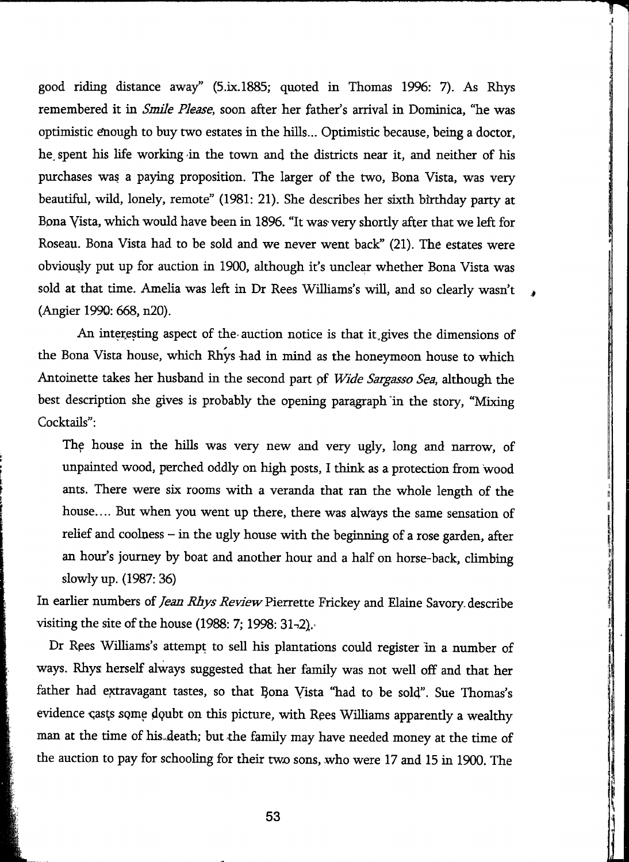good riding distance away" (5.ix.l885; quoted in Thomas 1996: 7). As Rhys remembered it in *Smile Please,* soon after her father's arrival in Dominica, "he was optimistic enough to buy two estates in the hills... Optimistic because, being a doctor, he. spent his life working in the town and the districts near it, and neither of his purchases was a paying proposition. The larger of the two, Bona Vista, was very beautiful, wild, lonely, remote" (1981: 21). She describes her sixth birthday party at Bona yista, which would have been in 1896. "It was'very shortly after that we left for Roseau. Bona Vista had to be sold and we never went back" (21). The estates were obviously put up for auction in 1900, although it's uncle^ whether Bona Vista was sold at that time. Amelia was left in Dr Rees WiUiams's wül, and so clearly wasn't (Angier 1990: 668, n20).

An interesting aspect of the-auction notice is that it, gives the dimensions of the Bona Vista house, which Rhys had in mind as the honeymoon house to which Antoinette takes her husband in the second part pf *Wide Sargasso Sea,* although the best description she gives is probably the opening paragraph in the story, "Mixing Cocktails":

The house in the hills was very new and very ugly, long and narrow, of unpainted wood, perched oddly on high posts, I think as a protection from wood ants. There were six rooms with a veranda that ran the whole length of the house.... But when you went up there, there was always the same sensation of relief and coolness - in the ugly house with the beginning of a rose garden, after an hour's journey by boat and another hour and a half on horse-back, climbing slowly up. (1987: 36)

In earlier numbers of *Jean Rhys Review* Pierrette Frickey and Elaine Savory describe visiting the site of the house (1988: 7; 1998:  $31-2$ ).

Dr Rees Williams's attempt to sell his plantations could register in a number of ways. Rhys herself always suggested that her family was not well off and that her father had extravagant tastes, so that Bona Vista "had to be sold". Sue Thomas's evidence casts some doubt on this picture, with Rees Williams apparently a wealthy man at the time of his,death; but the family may have needed money at the time of the auction to pay for schooling for their two sons, who were 17 and 15 in 1900. The

**53**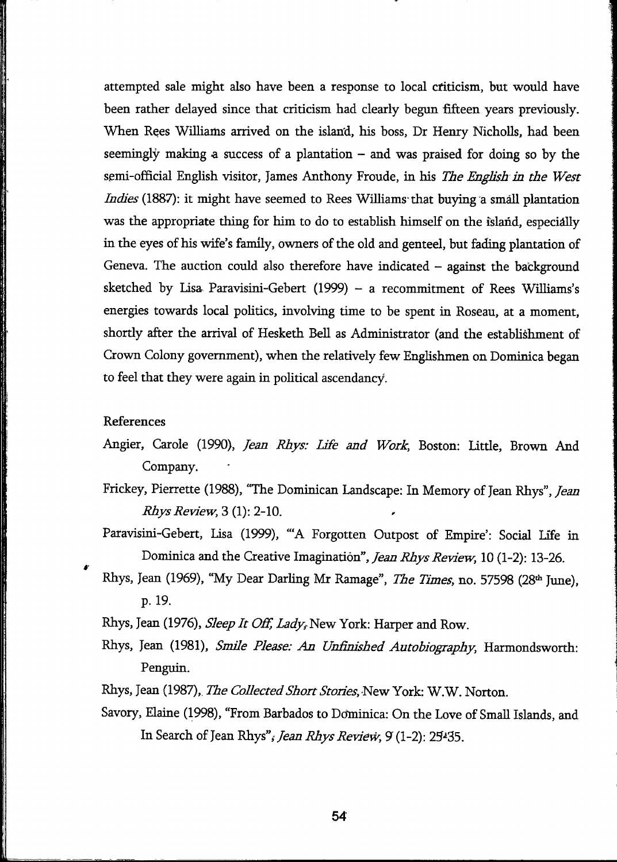attempted sale might also have been a response to local criticism, but would have been rather delayed since that criticism had clearly begun fifteen years previously. When Rees Williams arrived on the island, his boss, Dr Henry Nicholls, had been seemingly making a success of a plantation  $-$  and was praised for doing so by the semi-official English visitor, James Anthony Froude, in his *The English in the West Indies* (1887): it might have seemed to Rees Williams that buying a small plantation was the appropriate thing for him to do to establish himself on the island, especially in the eyes of his wife's family, owners of the old and genteel, but fading plantation of Geneva. The auction could also therefore have indicated  $-$  against the background sketched by Lisa Paravisini-Gebert (1999) - a recommitment of Rees Williams's energies towards local politics, involving time to be spent in Roseau, at a moment, shortly after the arrival of Hesketh Bell as Administrator (and the establishment of Crown Colony government), when the relatively few Englishmen on Dominica began to feel that they were again in political ascendancy.

## References

- Angier, Carole (1990), *Jean Rhys: Ufe and Work,* Boston: Little, Brown And Company.
- Frickey, Pierrette (1988), "The Dominican Landscape: In Memory of Jean Rhys", *Jean Rhys Review,?) 2-10.*

Paravisini-Gebert, Lisa (1999), "A Forgotten Outpost of Empire': Social Life in Dominica and the Creative Imagination", *Jean Rhys Review,* 10 (1-2): 13-26.

Rhys, Jean (1969), "My Dear Darling Mr Ramage", *The Times*, no. 57598 (28<sup>th</sup> June), p. 19.

Rhys, Jean (1976), *Sleep It Off, Lady*, New York: Harper and Row.

- Rhys, Jean (1981), *Smile Please: An Unfìnished Autobiography,* Harmondsworth: Penguin.
- Rhys, Jean (1987), *The Collected Short Stories*, New York: W.W. Norton.
- Savory, Elaine (1998), "From Barbados to Dominica: On the Love of Small Islands, and In Search of Jean Rhys",- *Jean Rhys Review, 9* (1-2): 25-^35.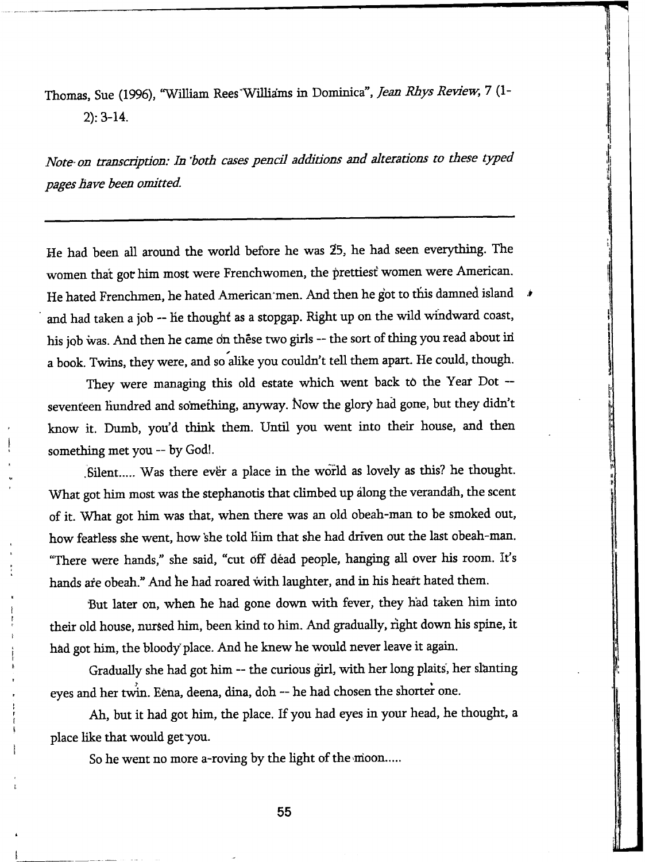Thomas, Sue (1996), "William Rees'Wilhams in Dominica", *Jean Rhys Review,* 7 (1- 2): 3-14.

*Note-on transcríption: In 'both cases pencil additions and alterations to these typed pages have been omitted.* 

He had been all around the world before he was 25, he had seen everything. The women that got bim most were Frenchwomen, the prettiest' women were American. He hated Frenchmen, he hated American men. And then he got to this damned island  $\rightarrow$ and had taken a job ~ he thought as a stopgap. Right up on the wild windward coast, his job was. And then he came on these two girls -- the sort of thing you read about in a book. Twins, they were, and so alike you couldn't tell them apart. He could, though.

They were managing this old estate which went back to the Year Dot -seventeen hundred and something, anyway. Ñow the glory had gone, but they didn't know it. Dumb, you'd think them. Until you went into their house, and then something met you — by God!.

.Silent..... Was there evër a place in the world as lovely as this? he thought. What got him most was the stephanotis that climbed up along the verandah, the scent of it. What got **bim** was that, when there was an old obeah-man to be smoked out, how feafless she went, how 'she told him that she had driven out the last obeah-man. "There were hands," she said, "cut off déad people, hanging all over his room. It's hands are obeah." And he had roared with laughter, and in his heart hated them.

But later on, when he had gone down with fever, they had taken him into their old house, nursed him, been kind to him. And gradually, right down his spine, it hâd got him, the bloody place. And he knew he would never leave it again.

Gradually she had got him ~ the curious girl, with her long plaits', her slanting eyes and her twin. Eena, deena, dina, doh -- he had chosen the shorter one.

Ah, but it had got him, the place. If you had eyes in your head, he thought, a place like that would getyou.

So he went no more a-roving by the light of the moon.....

**55**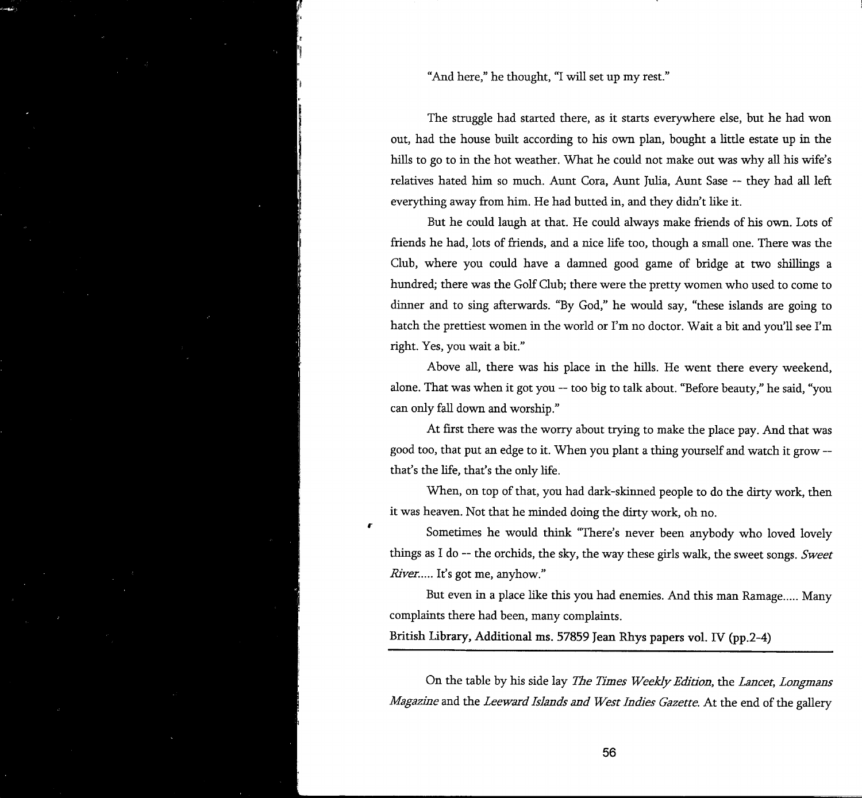"And here," he thought, "I will set up my rest."

The struggle had started there, as it starts everywhere else, but he had won out, had the house built according to his own plan, bought a little estate up in the hills to go to in the hot weather. What he could not make out was why all his wife's relatives hated him so much. Aunt Cora, Aunt Julia, Aunt Sase -- they had all left everything away from him. He had butted in, and they didn't like it.

But he could laugh at that. He could always make friends of his own. Lots of friends he had, lots of friends, and a nice life too, though a smaU one. There was the Club, where you could have a damned good game of bridge at two shillings a hundred; there was the Golf Club; there were the pretty women who used to come to dinner and to sing afterwards. "By God," he would say, "these islands are going to hatch the prettiest women in the world or I'm no doctor. Wait a bit and you'll see I'm right. Yes, you wait a bit."

Above all, there was his place in the hills. He went there every weekend, alone. That was when it got you ~ too big to talk about. "Before beauty," he said, "you can only fall down and worship."

At first there was the worry about trying to make the place pay. And that was good too, that put an edge to it. When you plant a thing yourself and watch it grow ~ that's the life, that's the only life.

When, on top of that, you had dark-skinned people to do the dirty work, then it was heaven. Not that he minded doing the dirty work, oh no.

Sometimes he would think "There's never been anybody who loved lovely things as I do — the orchids, the sky, the way these girls walk, the sweet songs. *Sweet River.....* It's got me, anyhow."

But even in a place like this you had enemies. And this man Ramage..... Many complaints there had been, many complaints.

British Library, Additional ms. 57859 Jean Rhys papers vol. IV (pp.2-4)

r

On the table by his side lay *The Times Weekly Edition,* the *Lancet, Longmans Magazine* and the *Leeward Islands and West Indies Gazette.* At the end of the gallery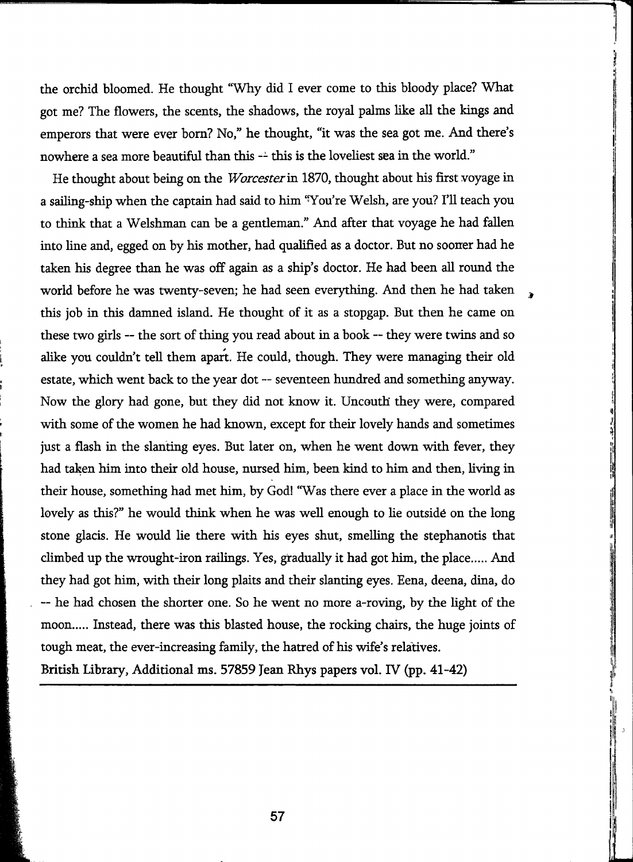the orchid bloomed. He thought "Why did I ever come to this bloody place? What got me? The flowers, the scents, the shadows, the royal palms like all the kings and emperors that were ever bom? No," he thought, "it was the sea got me. And there's nowhere a sea more beautiful than this -- this is the loveliest sea in the world."

He thought about being on the *Worcester* in 1870, thought about his first voyage in a sailing-ship when the captain had said to him 'You're Welsh, are you? I'll teach you to think that a Welshman can be a gentleman." And after that voyage he had fallen into line and, egged on by his mother, had qualified as a doctor. But no sooner had he taken his degree than he was off again as a ship's doctor. He had been all round the world before he was twenty-seven; he had seen everything. And then he had taken this job in this damned island. He thought of it as a stopgap. But then he came on these two girls -- the sort of thing you read about in a book -- they were twins and so alike you couldn't tell them apart. He could, though. They were managing their old estate, which went back to the year dot — seventeen himdred and something anyway. Now the glory had gone, but they did not know it. Uncouth they were, compared with some of the women he had known, except for their lovely hands and sometimes just a flash in the slanting eyes. But later on, when he went down with fever, they had taken him into their old house, nursed him, been kind to him and then, living in their house, something had met him, by God! "Was there ever a place in the world as lovely as this?" he would think when he was well enough to lie outside on the long stone glacis. He would he there with his eyes shut, smelling the stephanotis that climbed up the wrought-iron railings. Yes, gradually it had got him, the place..... And they had got him, with their long plaits and their slanting eyes. Eena, deena, dina, do ~ he had chosen the shorter one. So he went no more a-roving, by the light of the moon..... Instead, there was this blasted house, the rocking chairs, the huge joints of tough meat, the ever-increasing family, the hatred of his wife's relatives.

British Library, Additional ms. 57859 Jean Rhys papers vol. IV (pp. 41-42)